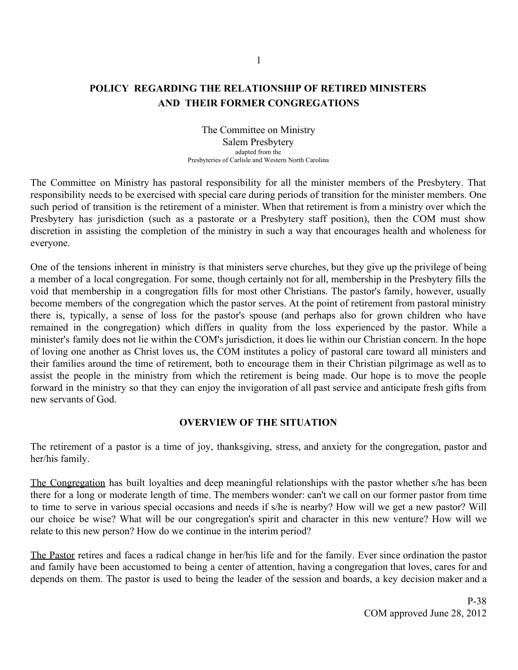# **POLICY REGARDING THE RELATIONSHIP OF RETIRED MINISTERS AND THEIR FORMER CONGREGATIONS**

The Committee on Ministry Salem Presbytery adapted from the Presbyteries of Carlisle and Western North Carolina

The Committee on Ministry has pastoral responsibility for all the minister members of the Presbytery. That responsibility needs to be exercised with special care during periods of transition for the minister members. One such period of transition is the retirement of a minister. When that retirement is from a ministry over which the Presbytery has jurisdiction (such as a pastorate or a Presbytery staff position), then the COM must show discretion in assisting the completion of the ministry in such a way that encourages health and wholeness for everyone.

One of the tensions inherent in ministry is that ministers serve churches, but they give up the privilege of being a member of a local congregation. For some, though certainly not for all, membership in the Presbytery fills the void that membership in a congregation fills for most other Christians. The pastor's family, however, usually become members of the congregation which the pastor serves. At the point of retirement from pastoral ministry there is, typically, a sense of loss for the pastor's spouse (and perhaps also for grown children who have remained in the congregation) which differs in quality from the loss experienced by the pastor. While a minister's family does not lie within the COM's jurisdiction, it does lie within our Christian concern. In the hope of loving one another as Christ loves us, the COM institutes a policy of pastoral care toward all ministers and their families around the time of retirement, both to encourage them in their Christian pilgrimage as well as to assist the people in the ministry from which the retirement is being made. Our hope is to move the people forward in the ministry so that they can enjoy the invigoration of all past service and anticipate fresh gifts from new servants of God.

### **OVERVIEW OF THE SITUATION**

The retirement of a pastor is a time of joy, thanksgiving, stress, and anxiety for the congregation, pastor and her/his family.

The Congregation has built loyalties and deep meaningful relationships with the pastor whether s/he has been there for a long or moderate length of time. The members wonder: can't we call on our former pastor from time to time to serve in various special occasions and needs if s/he is nearby? How will we get a new pastor? Will our choice be wise? What will be our congregation's spirit and character in this new venture? How will we relate to this new person? How do we continue in the interim period?

The Pastor retires and faces a radical change in her/his life and for the family. Ever since ordination the pastor and family have been accustomed to being a center of attention, having a congregation that loves, cares for and depends on them. The pastor is used to being the leader of the session and boards, a key decision maker and a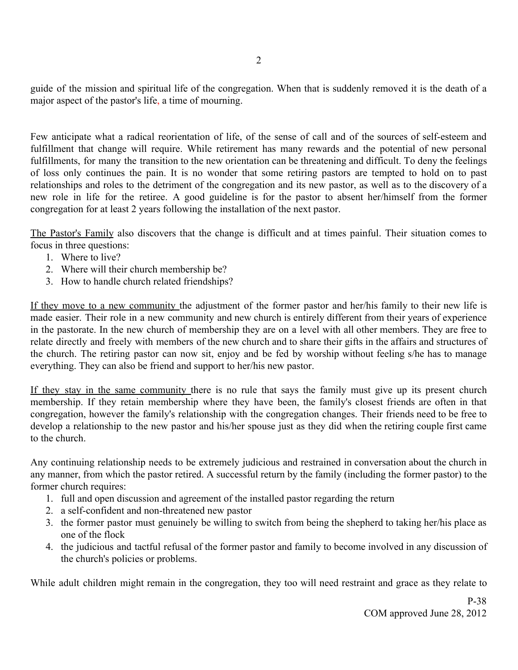guide of the mission and spiritual life of the congregation. When that is suddenly removed it is the death of a major aspect of the pastor's life, a time of mourning.

Few anticipate what a radical reorientation of life, of the sense of call and of the sources of self-esteem and fulfillment that change will require. While retirement has many rewards and the potential of new personal fulfillments, for many the transition to the new orientation can be threatening and difficult. To deny the feelings of loss only continues the pain. It is no wonder that some retiring pastors are tempted to hold on to past relationships and roles to the detriment of the congregation and its new pastor, as well as to the discovery of a new role in life for the retiree. A good guideline is for the pastor to absent her/himself from the former congregation for at least 2 years following the installation of the next pastor.

The Pastor's Family also discovers that the change is difficult and at times painful. Their situation comes to focus in three questions:

- 1. Where to live?
- 2. Where will their church membership be?
- 3. How to handle church related friendships?

If they move to a new community the adjustment of the former pastor and her/his family to their new life is made easier. Their role in a new community and new church is entirely different from their years of experience in the pastorate. In the new church of membership they are on a level with all other members. They are free to relate directly and freely with members of the new church and to share their gifts in the affairs and structures of the church. The retiring pastor can now sit, enjoy and be fed by worship without feeling s/he has to manage everything. They can also be friend and support to her/his new pastor.

If they stay in the same community there is no rule that says the family must give up its present church membership. If they retain membership where they have been, the family's closest friends are often in that congregation, however the family's relationship with the congregation changes. Their friends need to be free to develop a relationship to the new pastor and his/her spouse just as they did when the retiring couple first came to the church.

Any continuing relationship needs to be extremely judicious and restrained in conversation about the church in any manner, from which the pastor retired. A successful return by the family (including the former pastor) to the former church requires:

- 1. full and open discussion and agreement of the installed pastor regarding the return
- 2. a self-confident and non-threatened new pastor
- 3. the former pastor must genuinely be willing to switch from being the shepherd to taking her/his place as one of the flock
- 4. the judicious and tactful refusal of the former pastor and family to become involved in any discussion of the church's policies or problems.

While adult children might remain in the congregation, they too will need restraint and grace as they relate to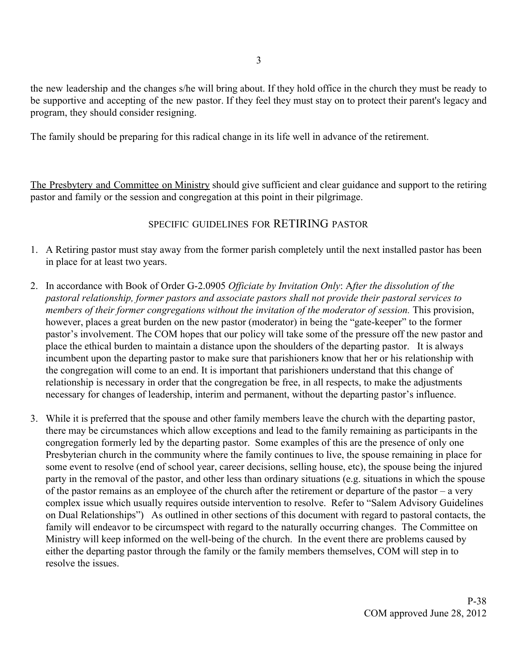the new leadership and the changes s/he will bring about. If they hold office in the church they must be ready to be supportive and accepting of the new pastor. If they feel they must stay on to protect their parent's legacy and program, they should consider resigning.

The family should be preparing for this radical change in its life well in advance of the retirement.

The Presbytery and Committee on Ministry should give sufficient and clear guidance and support to the retiring pastor and family or the session and congregation at this point in their pilgrimage.

## SPECIFIC GUIDELINES FOR RETIRING PASTOR

- 1. A Retiring pastor must stay away from the former parish completely until the next installed pastor has been in place for at least two years.
- 2. In accordance with Book of Order G-2.0905 *Officiate by Invitation Only*: A*fter the dissolution of the pastoral relationship, former pastors and associate pastors shall not provide their pastoral services to members of their former congregations without the invitation of the moderator of session.* This provision, however, places a great burden on the new pastor (moderator) in being the "gate-keeper" to the former pastor's involvement. The COM hopes that our policy will take some of the pressure off the new pastor and place the ethical burden to maintain a distance upon the shoulders of the departing pastor.It is always incumbent upon the departing pastor to make sure that parishioners know that her or his relationship with the congregation will come to an end. It is important that parishioners understand that this change of relationship is necessary in order that the congregation be free, in all respects, to make the adjustments necessary for changes of leadership, interim and permanent, without the departing pastor's influence.
- 3. While it is preferred that the spouse and other family members leave the church with the departing pastor, there may be circumstances which allow exceptions and lead to the family remaining as participants in the congregation formerly led by the departing pastor. Some examples of this are the presence of only one Presbyterian church in the community where the family continues to live, the spouse remaining in place for some event to resolve (end of school year, career decisions, selling house, etc), the spouse being the injured party in the removal of the pastor, and other less than ordinary situations (e.g. situations in which the spouse of the pastor remains as an employee of the church after the retirement or departure of the pastor – a very complex issue which usually requires outside intervention to resolve. Refer to "Salem Advisory Guidelines on Dual Relationships") As outlined in other sections of this document with regard to pastoral contacts, the family will endeavor to be circumspect with regard to the naturally occurring changes. The Committee on Ministry will keep informed on the well-being of the church. In the event there are problems caused by either the departing pastor through the family or the family members themselves, COM will step in to resolve the issues.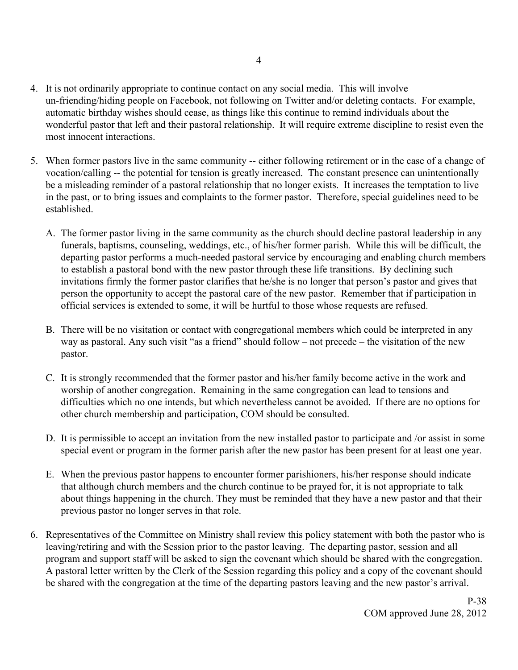- 4. It is not ordinarily appropriate to continue contact on any social media. This will involve un-friending/hiding people on Facebook, not following on Twitter and/or deleting contacts. For example, automatic birthday wishes should cease, as things like this continue to remind individuals about the wonderful pastor that left and their pastoral relationship. It will require extreme discipline to resist even the most innocent interactions.
- 5. When former pastors live in the same community -- either following retirement or in the case of a change of vocation/calling -- the potential for tension is greatly increased. The constant presence can unintentionally be a misleading reminder of a pastoral relationship that no longer exists. It increases the temptation to live in the past, or to bring issues and complaints to the former pastor. Therefore, special guidelines need to be established.
	- A. The former pastor living in the same community as the church should decline pastoral leadership in any funerals, baptisms, counseling, weddings, etc., of his/her former parish. While this will be difficult, the departing pastor performs a much-needed pastoral service by encouraging and enabling church members to establish a pastoral bond with the new pastor through these life transitions. By declining such invitations firmly the former pastor clarifies that he/she is no longer that person's pastor and gives that person the opportunity to accept the pastoral care of the new pastor. Remember that if participation in official services is extended to some, it will be hurtful to those whose requests are refused.
	- B. There will be no visitation or contact with congregational members which could be interpreted in any way as pastoral. Any such visit "as a friend" should follow – not precede – the visitation of the new pastor.
	- C. It is strongly recommended that the former pastor and his/her family become active in the work and worship of another congregation. Remaining in the same congregation can lead to tensions and difficulties which no one intends, but which nevertheless cannot be avoided. If there are no options for other church membership and participation, COM should be consulted.
	- D. It is permissible to accept an invitation from the new installed pastor to participate and /or assist in some special event or program in the former parish after the new pastor has been present for at least one year.
	- E. When the previous pastor happens to encounter former parishioners, his/her response should indicate that although church members and the church continue to be prayed for, it is not appropriate to talk about things happening in the church. They must be reminded that they have a new pastor and that their previous pastor no longer serves in that role.
- 6. Representatives of the Committee on Ministry shall review this policy statement with both the pastor who is leaving/retiring and with the Session prior to the pastor leaving. The departing pastor, session and all program and support staff will be asked to sign the covenant which should be shared with the congregation. A pastoral letter written by the Clerk of the Session regarding this policy and a copy of the covenant should be shared with the congregation at the time of the departing pastors leaving and the new pastor's arrival.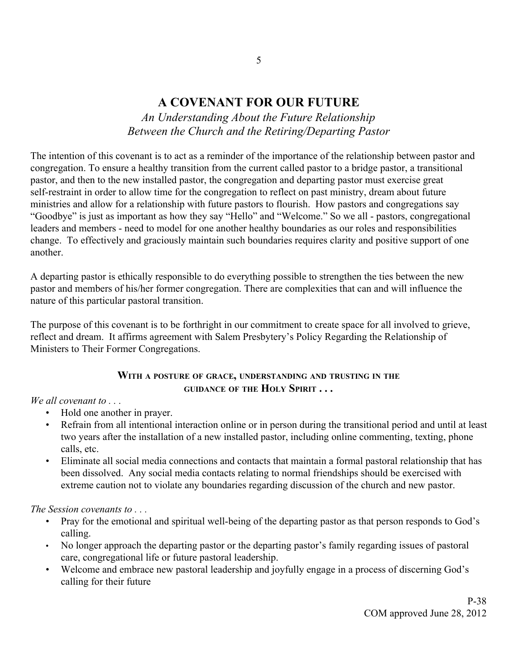# **A COVENANT FOR OUR FUTURE**

*An Understanding About the Future Relationship Between the Church and the Retiring/Departing Pastor*

The intention of this covenant is to act as a reminder of the importance of the relationship between pastor and congregation. To ensure a healthy transition from the current called pastor to a bridge pastor, a transitional pastor, and then to the new installed pastor, the congregation and departing pastor must exercise great self-restraint in order to allow time for the congregation to reflect on past ministry, dream about future ministries and allow for a relationship with future pastors to flourish. How pastors and congregations say "Goodbye" is just as important as how they say "Hello" and "Welcome." So we all - pastors, congregational leaders and members - need to model for one another healthy boundaries as our roles and responsibilities change. To effectively and graciously maintain such boundaries requires clarity and positive support of one another.

A departing pastor is ethically responsible to do everything possible to strengthen the ties between the new pastor and members of his/her former congregation. There are complexities that can and will influence the nature of this particular pastoral transition.

The purpose of this covenant is to be forthright in our commitment to create space for all involved to grieve, reflect and dream. It affirms agreement with Salem Presbytery's Policy Regarding the Relationship of Ministers to Their Former Congregations.

## **WITH <sup>A</sup> POSTURE OF GRACE, UNDERSTANDING AND TRUSTING IN THE GUIDANCE OF THE HOLY SPIRIT . . .**

*We all covenant to . . .*

- Hold one another in prayer.
- Refrain from all intentional interaction online or in person during the transitional period and until at least two years after the installation of a new installed pastor, including online commenting, texting, phone calls, etc.
- Eliminate all social media connections and contacts that maintain a formal pastoral relationship that has been dissolved. Any social media contacts relating to normal friendships should be exercised with extreme caution not to violate any boundaries regarding discussion of the church and new pastor.

*The Session covenants to . . .*

- Pray for the emotional and spiritual well-being of the departing pastor as that person responds to God's calling.
- No longer approach the departing pastor or the departing pastor's family regarding issues of pastoral care, congregational life or future pastoral leadership.
- Welcome and embrace new pastoral leadership and joyfully engage in a process of discerning God's calling for their future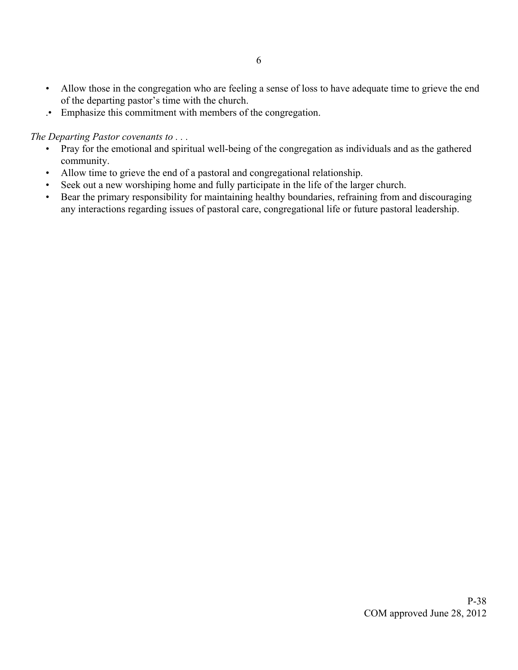- Allow those in the congregation who are feeling a sense of loss to have adequate time to grieve the end of the departing pastor's time with the church.
- .• Emphasize this commitment with members of the congregation.

*The Departing Pastor covenants to . . .*

- Pray for the emotional and spiritual well-being of the congregation as individuals and as the gathered community.
- Allow time to grieve the end of a pastoral and congregational relationship.
- Seek out a new worshiping home and fully participate in the life of the larger church.
- Bear the primary responsibility for maintaining healthy boundaries, refraining from and discouraging any interactions regarding issues of pastoral care, congregational life or future pastoral leadership.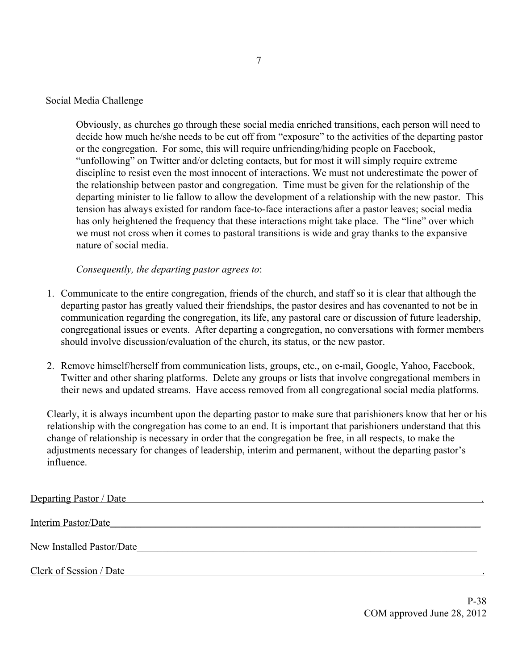#### Social Media Challenge

Obviously, as churches go through these social media enriched transitions, each person will need to decide how much he/she needs to be cut off from "exposure" to the activities of the departing pastor or the congregation. For some, this will require unfriending/hiding people on Facebook, "unfollowing" on Twitter and/or deleting contacts, but for most it will simply require extreme discipline to resist even the most innocent of interactions. We must not underestimate the power of the relationship between pastor and congregation. Time must be given for the relationship of the departing minister to lie fallow to allow the development of a relationship with the new pastor. This tension has always existed for random face-to-face interactions after a pastor leaves; social media has only heightened the frequency that these interactions might take place. The "line" over which we must not cross when it comes to pastoral transitions is wide and gray thanks to the expansive nature of social media.

*Consequently, the departing pastor agrees to*:

- 1. Communicate to the entire congregation, friends of the church, and staff so it is clear that although the departing pastor has greatly valued their friendships, the pastor desires and has covenanted to not be in communication regarding the congregation, its life, any pastoral care or discussion of future leadership, congregational issues or events. After departing a congregation, no conversations with former members should involve discussion/evaluation of the church, its status, or the new pastor.
- 2. Remove himself/herself from communication lists, groups, etc., on e-mail, Google, Yahoo, Facebook, Twitter and other sharing platforms. Delete any groups or lists that involve congregational members in their news and updated streams. Have access removed from all congregational social media platforms.

Clearly, it is always incumbent upon the departing pastor to make sure that parishioners know that her or his relationship with the congregation has come to an end. It is important that parishioners understand that this change of relationship is necessary in order that the congregation be free, in all respects, to make the adjustments necessary for changes of leadership, interim and permanent, without the departing pastor's influence.

| Departing Pastor / Date          |
|----------------------------------|
| Interim Pastor/Date              |
| <b>New Installed Pastor/Date</b> |
| Clerk of Session / Date          |